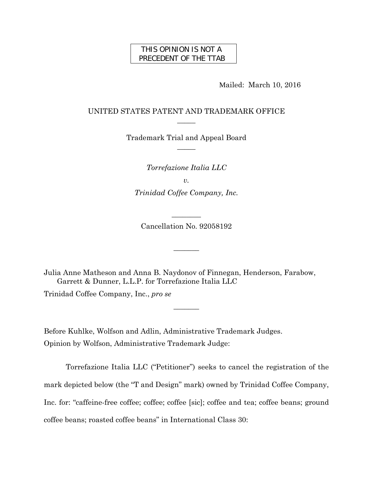## THIS OPINION IS NOT A PRECEDENT OF THE TTAB

Mailed: March 10, 2016

# UNITED STATES PATENT AND TRADEMARK OFFICE  $\overline{\phantom{a}}$

Trademark Trial and Appeal Board  $\overline{\phantom{a}}$ 

*Torrefazione Italia LLC* 

*v.* 

*Trinidad Coffee Company, Inc.* 

Cancellation No. 92058192

 $\overline{\phantom{a}}$ 

 $\overline{\phantom{a}}$ 

 $\overline{\phantom{a}}$ 

Julia Anne Matheson and Anna B. Naydonov of Finnegan, Henderson, Farabow, Garrett & Dunner, L.L.P. for Torrefazione Italia LLC Trinidad Coffee Company, Inc., *pro se*

Before Kuhlke, Wolfson and Adlin, Administrative Trademark Judges. Opinion by Wolfson, Administrative Trademark Judge:

Torrefazione Italia LLC ("Petitioner") seeks to cancel the registration of the mark depicted below (the "T and Design" mark) owned by Trinidad Coffee Company, Inc. for: "caffeine-free coffee; coffee; coffee [sic]; coffee and tea; coffee beans; ground coffee beans; roasted coffee beans" in International Class 30: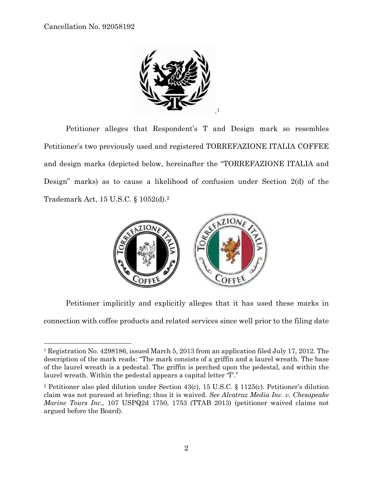$\overline{a}$ 



Petitioner alleges that Respondent's T and Design mark so resembles Petitioner's two previously used and registered TORREFAZIONE ITALIA COFFEE and design marks (depicted below, hereinafter the "TORREFAZIONE ITALIA and Design" marks) as to cause a likelihood of confusion under Section 2(d) of the Trademark Act, 15 U.S.C. § 1052(d).2



Petitioner implicitly and explicitly alleges that it has used these marks in connection with coffee products and related services since well prior to the filing date

<sup>1</sup> Registration No. 4298186, issued March 5, 2013 from an application filed July 17, 2012. The description of the mark reads: "The mark consists of a griffin and a laurel wreath. The base of the laurel wreath is a pedestal. The griffin is perched upon the pedestal, and within the laurel wreath. Within the pedestal appears a capital letter 'T'."

<sup>2</sup> Petitioner also pled dilution under Section 43(c), 15 U.S.C. § 1125(c). Petitioner's dilution claim was not pursued at briefing; thus it is waived. *See Alcatraz Media Inc. v. Chesapeake Marine Tours Inc.,* 107 USPQ2d 1750, 1753 (TTAB 2013) (petitioner waived claims not argued before the Board).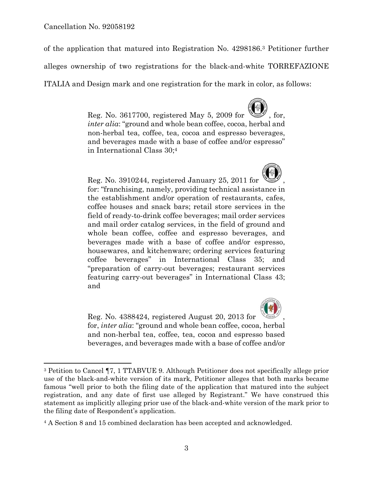1

of the application that matured into Registration No. 4298186.3 Petitioner further

alleges ownership of two registrations for the black-and-white TORREFAZIONE

ITALIA and Design mark and one registration for the mark in color, as follows:



Reg. No. 3910244, registered January 25, 2011 for , for: "franchising, namely, providing technical assistance in the establishment and/or operation of restaurants, cafes, coffee houses and snack bars; retail store services in the field of ready-to-drink coffee beverages; mail order services and mail order catalog services, in the field of ground and whole bean coffee, coffee and espresso beverages, and beverages made with a base of coffee and/or espresso, housewares, and kitchenware; ordering services featuring coffee beverages" in International Class 35; and "preparation of carry-out beverages; restaurant services featuring carry-out beverages" in International Class 43; and



Reg. No. 4388424, registered August 20, 2013 for , for, *inter alia*: "ground and whole bean coffee, cocoa, herbal and non-herbal tea, coffee, tea, cocoa and espresso based beverages, and beverages made with a base of coffee and/or

<sup>3</sup> Petition to Cancel ¶7, 1 TTABVUE 9. Although Petitioner does not specifically allege prior use of the black-and-white version of its mark, Petitioner alleges that both marks became famous "well prior to both the filing date of the application that matured into the subject registration, and any date of first use alleged by Registrant." We have construed this statement as implicitly alleging prior use of the black-and-white version of the mark prior to the filing date of Respondent's application.

<sup>4</sup> A Section 8 and 15 combined declaration has been accepted and acknowledged.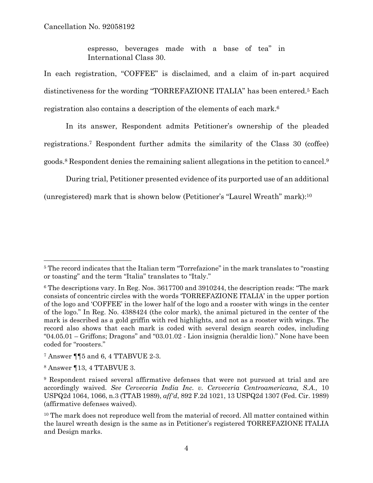espresso, beverages made with a base of tea" in International Class 30.

In each registration, "COFFEE" is disclaimed, and a claim of in-part acquired distinctiveness for the wording "TORREFAZIONE ITALIA" has been entered.5 Each registration also contains a description of the elements of each mark.6

In its answer, Respondent admits Petitioner's ownership of the pleaded registrations.7 Respondent further admits the similarity of the Class 30 (coffee) goods.8 Respondent denies the remaining salient allegations in the petition to cancel.9

During trial, Petitioner presented evidence of its purported use of an additional

(unregistered) mark that is shown below (Petitioner's "Laurel Wreath" mark):10

<sup>&</sup>lt;sup>5</sup> The record indicates that the Italian term "Torrefazione" in the mark translates to "roasting" or toasting" and the term "Italia" translates to "Italy."

<sup>6</sup> The descriptions vary. In Reg. Nos. 3617700 and 3910244, the description reads: "The mark consists of concentric circles with the words 'TORREFAZIONE ITALIA' in the upper portion of the logo and 'COFFEE' in the lower half of the logo and a rooster with wings in the center of the logo." In Reg. No. 4388424 (the color mark), the animal pictured in the center of the mark is described as a gold griffin with red highlights, and not as a rooster with wings. The record also shows that each mark is coded with several design search codes, including "04.05.01 – Griffons; Dragons" and "03.01.02 - Lion insignia (heraldic lion)." None have been coded for "roosters."

<sup>7</sup> Answer ¶¶5 and 6, 4 TTABVUE 2-3.

<sup>8</sup> Answer ¶13, 4 TTABVUE 3.

<sup>9</sup> Respondent raised several affirmative defenses that were not pursued at trial and are accordingly waived. *See Cerveceria India Inc. v. Cerveceria Centroamericana, S.A.,* 10 USPQ2d 1064, 1066, n.3 (TTAB 1989), *aff'd*, 892 F.2d 1021, 13 USPQ2d 1307 (Fed. Cir. 1989) (affirmative defenses waived).

<sup>&</sup>lt;sup>10</sup> The mark does not reproduce well from the material of record. All matter contained within the laurel wreath design is the same as in Petitioner's registered TORREFAZIONE ITALIA and Design marks.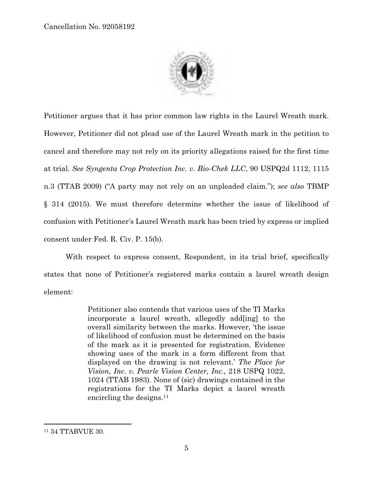

Petitioner argues that it has prior common law rights in the Laurel Wreath mark. However, Petitioner did not plead use of the Laurel Wreath mark in the petition to cancel and therefore may not rely on its priority allegations raised for the first time at trial. *See Syngenta Crop Protection Inc. v. Bio-Chek LLC*, 90 USPQ2d 1112, 1115 n.3 (TTAB 2009) ("A party may not rely on an unpleaded claim."); *see also* TBMP § 314 (2015). We must therefore determine whether the issue of likelihood of confusion with Petitioner's Laurel Wreath mark has been tried by express or implied consent under Fed. R. Civ. P. 15(b).

With respect to express consent, Respondent, in its trial brief, specifically states that none of Petitioner's registered marks contain a laurel wreath design element:

> Petitioner also contends that various uses of the TI Marks incorporate a laurel wreath, allegedly add[ing] to the overall similarity between the marks. However, 'the issue of likelihood of confusion must be determined on the basis of the mark as it is presented for registration. Evidence showing uses of the mark in a form different from that displayed on the drawing is not relevant.' *The Place for Vision, Inc. v. Pearle Vision Center, Inc.,* 218 USPQ 1022, 1024 (TTAB 1983). None of (sic) drawings contained in the registrations for the TI Marks depict a laurel wreath encircling the designs.<sup>11</sup>

<sup>11 34</sup> TTABVUE 30.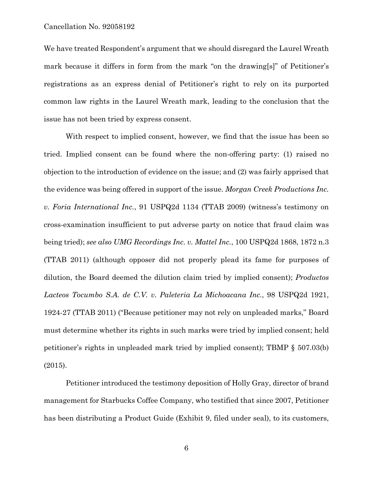We have treated Respondent's argument that we should disregard the Laurel Wreath mark because it differs in form from the mark "on the drawing[s]" of Petitioner's registrations as an express denial of Petitioner's right to rely on its purported common law rights in the Laurel Wreath mark, leading to the conclusion that the issue has not been tried by express consent.

With respect to implied consent, however, we find that the issue has been so tried. Implied consent can be found where the non-offering party: (1) raised no objection to the introduction of evidence on the issue; and (2) was fairly apprised that the evidence was being offered in support of the issue. *Morgan Creek Productions Inc. v. Foria International Inc.*, 91 USPQ2d 1134 (TTAB 2009) (witness's testimony on cross-examination insufficient to put adverse party on notice that fraud claim was being tried); *see also UMG Recordings Inc. v. Mattel Inc.*, 100 USPQ2d 1868, 1872 n.3 (TTAB 2011) (although opposer did not properly plead its fame for purposes of dilution, the Board deemed the dilution claim tried by implied consent); *Productos Lacteos Tocumbo S.A. de C.V. v. Paleteria La Michoacana Inc.*, 98 USPQ2d 1921, 1924-27 (TTAB 2011) ("Because petitioner may not rely on unpleaded marks," Board must determine whether its rights in such marks were tried by implied consent; held petitioner's rights in unpleaded mark tried by implied consent); TBMP § 507.03(b) (2015).

Petitioner introduced the testimony deposition of Holly Gray, director of brand management for Starbucks Coffee Company, who testified that since 2007, Petitioner has been distributing a Product Guide (Exhibit 9, filed under seal), to its customers,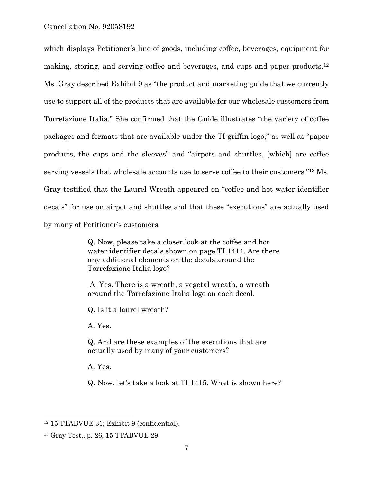which displays Petitioner's line of goods, including coffee, beverages, equipment for making, storing, and serving coffee and beverages, and cups and paper products.12 Ms. Gray described Exhibit 9 as "the product and marketing guide that we currently use to support all of the products that are available for our wholesale customers from Torrefazione Italia." She confirmed that the Guide illustrates "the variety of coffee packages and formats that are available under the TI griffin logo," as well as "paper products, the cups and the sleeves" and "airpots and shuttles, [which] are coffee serving vessels that wholesale accounts use to serve coffee to their customers."13 Ms. Gray testified that the Laurel Wreath appeared on "coffee and hot water identifier decals" for use on airpot and shuttles and that these "executions" are actually used by many of Petitioner's customers:

> Q. Now, please take a closer look at the coffee and hot water identifier decals shown on page TI 1414. Are there any additional elements on the decals around the Torrefazione Italia logo?

 A. Yes. There is a wreath, a vegetal wreath, a wreath around the Torrefazione Italia logo on each decal.

Q. Is it a laurel wreath?

A. Yes.

Q. And are these examples of the executions that are actually used by many of your customers?

A. Yes.

Q. Now, let's take a look at TI 1415. What is shown here?

<sup>12 15</sup> TTABVUE 31; Exhibit 9 (confidential).

<sup>13</sup> Gray Test., p. 26, 15 TTABVUE 29.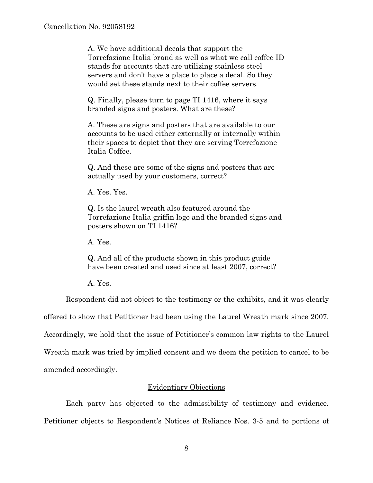A. We have additional decals that support the Torrefazione Italia brand as well as what we call coffee ID stands for accounts that are utilizing stainless steel servers and don't have a place to place a decal. So they would set these stands next to their coffee servers.

Q. Finally, please turn to page TI 1416, where it says branded signs and posters. What are these?

A. These are signs and posters that are available to our accounts to be used either externally or internally within their spaces to depict that they are serving Torrefazione Italia Coffee.

Q. And these are some of the signs and posters that are actually used by your customers, correct?

A. Yes. Yes.

Q. Is the laurel wreath also featured around the Torrefazione Italia griffin logo and the branded signs and posters shown on TI 1416?

A. Yes.

Q. And all of the products shown in this product guide have been created and used since at least 2007, correct?

A. Yes.

Respondent did not object to the testimony or the exhibits, and it was clearly

offered to show that Petitioner had been using the Laurel Wreath mark since 2007.

Accordingly, we hold that the issue of Petitioner's common law rights to the Laurel

Wreath mark was tried by implied consent and we deem the petition to cancel to be amended accordingly.

# Evidentiary Objections

Each party has objected to the admissibility of testimony and evidence. Petitioner objects to Respondent's Notices of Reliance Nos. 3-5 and to portions of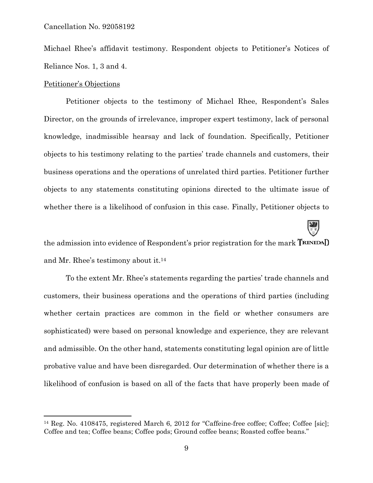Michael Rhee's affidavit testimony. Respondent objects to Petitioner's Notices of Reliance Nos. 1, 3 and 4.

### Petitioner's Objections

1

Petitioner objects to the testimony of Michael Rhee, Respondent's Sales Director, on the grounds of irrelevance, improper expert testimony, lack of personal knowledge, inadmissible hearsay and lack of foundation. Specifically, Petitioner objects to his testimony relating to the parties' trade channels and customers, their business operations and the operations of unrelated third parties. Petitioner further objects to any statements constituting opinions directed to the ultimate issue of whether there is a likelihood of confusion in this case. Finally, Petitioner objects to

the admission into evidence of Respondent's prior registration for the mark **TRINIDAD** and Mr. Rhee's testimony about it.14

**W** 

To the extent Mr. Rhee's statements regarding the parties' trade channels and customers, their business operations and the operations of third parties (including whether certain practices are common in the field or whether consumers are sophisticated) were based on personal knowledge and experience, they are relevant and admissible. On the other hand, statements constituting legal opinion are of little probative value and have been disregarded. Our determination of whether there is a likelihood of confusion is based on all of the facts that have properly been made of

<sup>&</sup>lt;sup>14</sup> Reg. No. 4108475, registered March 6, 2012 for "Caffeine-free coffee; Coffee; Coffee [sic]; Coffee and tea; Coffee beans; Coffee pods; Ground coffee beans; Roasted coffee beans."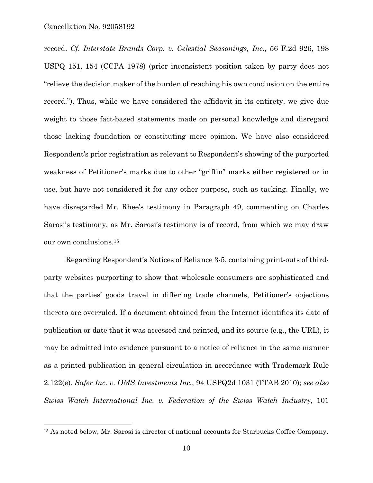1

record. *Cf. Interstate Brands Corp. v. Celestial Seasonings, Inc.,* 56 F.2d 926, 198 USPQ 151, 154 (CCPA 1978) (prior inconsistent position taken by party does not "relieve the decision maker of the burden of reaching his own conclusion on the entire record."). Thus, while we have considered the affidavit in its entirety, we give due weight to those fact-based statements made on personal knowledge and disregard those lacking foundation or constituting mere opinion. We have also considered Respondent's prior registration as relevant to Respondent's showing of the purported weakness of Petitioner's marks due to other "griffin" marks either registered or in use, but have not considered it for any other purpose, such as tacking. Finally, we have disregarded Mr. Rhee's testimony in Paragraph 49, commenting on Charles Sarosi's testimony, as Mr. Sarosi's testimony is of record, from which we may draw our own conclusions.15

Regarding Respondent's Notices of Reliance 3-5, containing print-outs of thirdparty websites purporting to show that wholesale consumers are sophisticated and that the parties' goods travel in differing trade channels, Petitioner's objections thereto are overruled. If a document obtained from the Internet identifies its date of publication or date that it was accessed and printed, and its source (e.g., the URL), it may be admitted into evidence pursuant to a notice of reliance in the same manner as a printed publication in general circulation in accordance with Trademark Rule 2.122(e). *Safer Inc. v. OMS Investments Inc.*, 94 USPQ2d 1031 (TTAB 2010); *see also Swiss Watch International Inc. v. Federation of the Swiss Watch Industry*, 101

<sup>15</sup> As noted below, Mr. Sarosi is director of national accounts for Starbucks Coffee Company.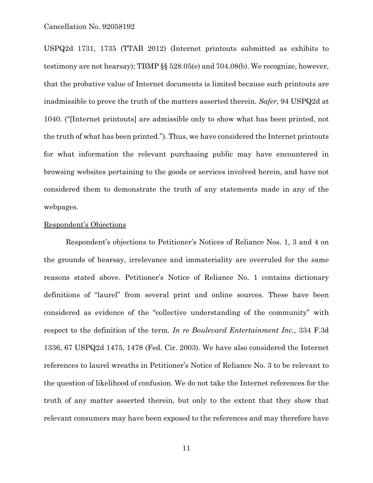USPQ2d 1731, 1735 (TTAB 2012) (Internet printouts submitted as exhibits to testimony are not hearsay); TBMP §§ 528.05(e) and 704.08(b). We recognize, however, that the probative value of Internet documents is limited because such printouts are inadmissible to prove the truth of the matters asserted therein. *Safer,* 94 USPQ2d at 1040. ("[Internet printouts] are admissible only to show what has been printed, not the truth of what has been printed."). Thus, we have considered the Internet printouts for what information the relevant purchasing public may have encountered in browsing websites pertaining to the goods or services involved herein, and have not considered them to demonstrate the truth of any statements made in any of the webpages.

### Respondent's Objections

Respondent's objections to Petitioner's Notices of Reliance Nos. 1, 3 and 4 on the grounds of hearsay, irrelevance and immateriality are overruled for the same reasons stated above. Petitioner's Notice of Reliance No. 1 contains dictionary definitions of "laurel" from several print and online sources. These have been considered as evidence of the "collective understanding of the community" with respect to the definition of the term. *In re Boulevard Entertainment Inc.,* 334 F.3d 1336, 67 USPQ2d 1475, 1478 (Fed. Cir. 2003). We have also considered the Internet references to laurel wreaths in Petitioner's Notice of Reliance No. 3 to be relevant to the question of likelihood of confusion. We do not take the Internet references for the truth of any matter asserted therein, but only to the extent that they show that relevant consumers may have been exposed to the references and may therefore have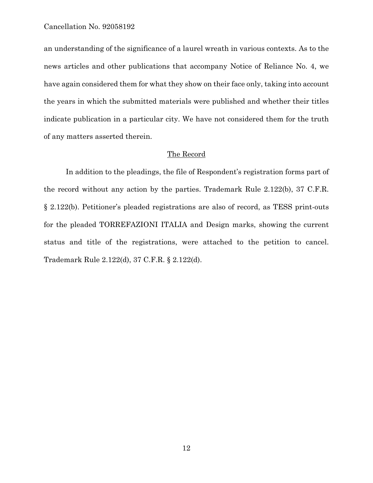an understanding of the significance of a laurel wreath in various contexts. As to the news articles and other publications that accompany Notice of Reliance No. 4, we have again considered them for what they show on their face only, taking into account the years in which the submitted materials were published and whether their titles indicate publication in a particular city. We have not considered them for the truth of any matters asserted therein.

### The Record

In addition to the pleadings, the file of Respondent's registration forms part of the record without any action by the parties. Trademark Rule 2.122(b), 37 C.F.R. § 2.122(b). Petitioner's pleaded registrations are also of record, as TESS print-outs for the pleaded TORREFAZIONI ITALIA and Design marks, showing the current status and title of the registrations, were attached to the petition to cancel. Trademark Rule 2.122(d), 37 C.F.R. § 2.122(d).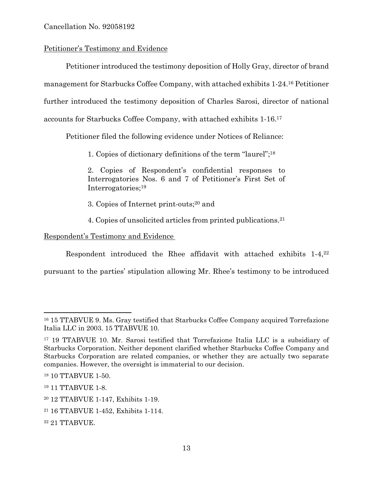# Petitioner's Testimony and Evidence

Petitioner introduced the testimony deposition of Holly Gray, director of brand management for Starbucks Coffee Company, with attached exhibits 1-24.16 Petitioner further introduced the testimony deposition of Charles Sarosi, director of national accounts for Starbucks Coffee Company, with attached exhibits 1-16.17

Petitioner filed the following evidence under Notices of Reliance:

1. Copies of dictionary definitions of the term "laurel";18

2. Copies of Respondent's confidential responses to Interrogatories Nos. 6 and 7 of Petitioner's First Set of Interrogatories;19

3. Copies of Internet print-outs;20 and

4. Copies of unsolicited articles from printed publications.21

Respondent's Testimony and Evidence

Respondent introduced the Rhee affidavit with attached exhibits 1-4,22

pursuant to the parties' stipulation allowing Mr. Rhee's testimony to be introduced

1

<sup>16 15</sup> TTABVUE 9. Ms. Gray testified that Starbucks Coffee Company acquired Torrefazione Italia LLC in 2003. 15 TTABVUE 10.

<sup>17 19</sup> TTABVUE 10. Mr. Sarosi testified that Torrefazione Italia LLC is a subsidiary of Starbucks Corporation. Neither deponent clarified whether Starbucks Coffee Company and Starbucks Corporation are related companies, or whether they are actually two separate companies. However, the oversight is immaterial to our decision.

<sup>18 10</sup> TTABVUE 1-50.

<sup>19 11</sup> TTABVUE 1-8.

<sup>20 12</sup> TTABVUE 1-147, Exhibits 1-19.

<sup>21 16</sup> TTABVUE 1-452, Exhibits 1-114.

<sup>22 21</sup> TTABVUE.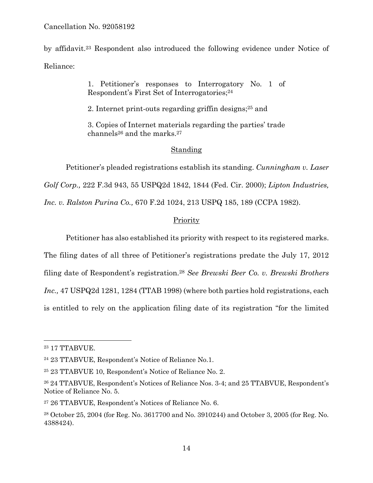by affidavit.23 Respondent also introduced the following evidence under Notice of Reliance:

> 1. Petitioner's responses to Interrogatory No. 1 of Respondent's First Set of Interrogatories;24

2. Internet print-outs regarding griffin designs;25 and

3. Copies of Internet materials regarding the parties' trade channels<sup>26</sup> and the marks.<sup>27</sup>

## Standing

Petitioner's pleaded registrations establish its standing. *Cunningham v. Laser Golf Corp.,* 222 F.3d 943, 55 USPQ2d 1842, 1844 (Fed. Cir. 2000); *Lipton Industries, Inc. v. Ralston Purina Co.,* 670 F.2d 1024, 213 USPQ 185, 189 (CCPA 1982).

## **Priority**

Petitioner has also established its priority with respect to its registered marks.

The filing dates of all three of Petitioner's registrations predate the July 17, 2012 filing date of Respondent's registration.28 *See Brewski Beer Co. v. Brewski Brothers Inc.,* 47 USPQ2d 1281, 1284 (TTAB 1998) (where both parties hold registrations, each is entitled to rely on the application filing date of its registration "for the limited

<sup>23 17</sup> TTABVUE.

<sup>24 23</sup> TTABVUE, Respondent's Notice of Reliance No.1.

<sup>25 23</sup> TTABVUE 10, Respondent's Notice of Reliance No. 2.

<sup>26 24</sup> TTABVUE, Respondent's Notices of Reliance Nos. 3-4; and 25 TTABVUE, Respondent's Notice of Reliance No. 5.

<sup>27 26</sup> TTABVUE, Respondent's Notices of Reliance No. 6.

<sup>28</sup> October 25, 2004 (for Reg. No. 3617700 and No. 3910244) and October 3, 2005 (for Reg. No. 4388424).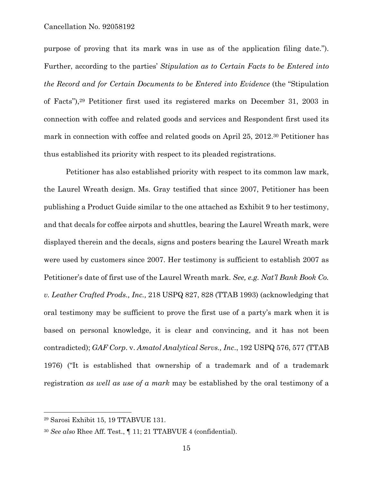purpose of proving that its mark was in use as of the application filing date."). Further, according to the parties' *Stipulation as to Certain Facts to be Entered into the Record and for Certain Documents to be Entered into Evidence* (the "Stipulation of Facts"),29 Petitioner first used its registered marks on December 31, 2003 in connection with coffee and related goods and services and Respondent first used its mark in connection with coffee and related goods on April 25, 2012.30 Petitioner has thus established its priority with respect to its pleaded registrations.

Petitioner has also established priority with respect to its common law mark, the Laurel Wreath design. Ms. Gray testified that since 2007, Petitioner has been publishing a Product Guide similar to the one attached as Exhibit 9 to her testimony, and that decals for coffee airpots and shuttles, bearing the Laurel Wreath mark, were displayed therein and the decals, signs and posters bearing the Laurel Wreath mark were used by customers since 2007. Her testimony is sufficient to establish 2007 as Petitioner's date of first use of the Laurel Wreath mark. *See, e.g. Nat'l Bank Book Co. v. Leather Crafted Prods., Inc.,* 218 USPQ 827, 828 (TTAB 1993) (acknowledging that oral testimony may be sufficient to prove the first use of a party's mark when it is based on personal knowledge, it is clear and convincing, and it has not been contradicted); *GAF Corp*. v. *Amatol Analytical Servs., Inc*., 192 USPQ 576, 577 (TTAB 1976) ("It is established that ownership of a trademark and of a trademark registration *as well as use of a mark* may be established by the oral testimony of a

<sup>29</sup> Sarosi Exhibit 15, 19 TTABVUE 131.

<sup>30</sup> *See also* Rhee Aff. Test., ¶ 11; 21 TTABVUE 4 (confidential).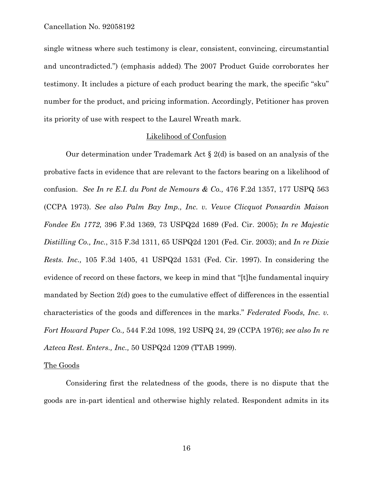single witness where such testimony is clear, consistent, convincing, circumstantial and uncontradicted.") (emphasis added). The 2007 Product Guide corroborates her testimony. It includes a picture of each product bearing the mark, the specific "sku" number for the product, and pricing information. Accordingly, Petitioner has proven its priority of use with respect to the Laurel Wreath mark.

#### Likelihood of Confusion

Our determination under Trademark Act  $\S 2(d)$  is based on an analysis of the probative facts in evidence that are relevant to the factors bearing on a likelihood of confusion. *See In re E.I. du Pont de Nemours & Co.,* 476 F.2d 1357, 177 USPQ 563 (CCPA 1973). *See also Palm Bay Imp., Inc. v. Veuve Clicquot Ponsardin Maison Fondee En 1772,* 396 F.3d 1369, 73 USPQ2d 1689 (Fed. Cir. 2005); *In re Majestic Distilling Co., Inc.*, 315 F.3d 1311, 65 USPQ2d 1201 (Fed. Cir. 2003); and *In re Dixie Rests. Inc.,* 105 F.3d 1405, 41 USPQ2d 1531 (Fed. Cir. 1997). In considering the evidence of record on these factors, we keep in mind that "[t]he fundamental inquiry mandated by Section 2(d) goes to the cumulative effect of differences in the essential characteristics of the goods and differences in the marks." *Federated Foods, Inc. v. Fort Howard Paper Co.,* 544 F.2d 1098, 192 USPQ 24, 29 (CCPA 1976); *see also In re Azteca Rest. Enters., Inc.,* 50 USPQ2d 1209 (TTAB 1999).

#### The Goods

Considering first the relatedness of the goods, there is no dispute that the goods are in-part identical and otherwise highly related. Respondent admits in its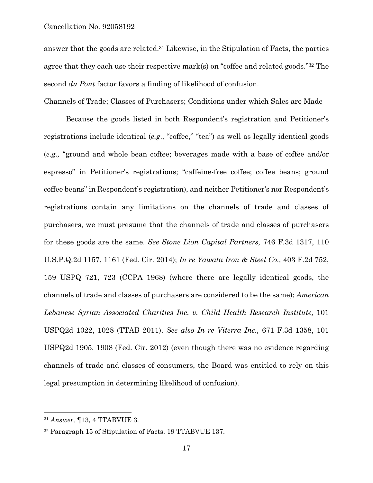answer that the goods are related.31 Likewise, in the Stipulation of Facts, the parties agree that they each use their respective mark(s) on "coffee and related goods."32 The second *du Pont* factor favors a finding of likelihood of confusion.

#### Channels of Trade; Classes of Purchasers; Conditions under which Sales are Made

Because the goods listed in both Respondent's registration and Petitioner's registrations include identical (*e.g*., "coffee," "tea") as well as legally identical goods (*e.g.,* "ground and whole bean coffee; beverages made with a base of coffee and/or espresso" in Petitioner's registrations; "caffeine-free coffee; coffee beans; ground coffee beans" in Respondent's registration), and neither Petitioner's nor Respondent's registrations contain any limitations on the channels of trade and classes of purchasers, we must presume that the channels of trade and classes of purchasers for these goods are the same. *See Stone Lion Capital Partners,* 746 F.3d 1317, 110 U.S.P.Q.2d 1157, 1161 (Fed. Cir. 2014); *In re Yawata Iron & Steel Co.,* 403 F.2d 752, 159 USPQ 721, 723 (CCPA 1968) (where there are legally identical goods, the channels of trade and classes of purchasers are considered to be the same); *American*  Lebanese Syrian Associated Charities Inc. v. Child Health Research Institute, 101 USPQ2d 1022, 1028 (TTAB 2011). *See also In re Viterra Inc.,* 671 F.3d 1358, 101 USPQ2d 1905, 1908 (Fed. Cir. 2012) (even though there was no evidence regarding channels of trade and classes of consumers, the Board was entitled to rely on this legal presumption in determining likelihood of confusion).

1

<sup>31</sup> *Answer,* ¶13, 4 TTABVUE 3*.* 

<sup>32</sup> Paragraph 15 of Stipulation of Facts, 19 TTABVUE 137.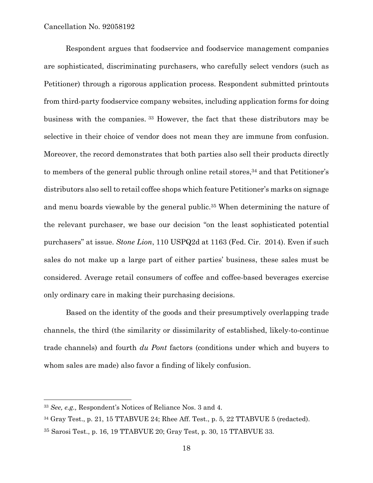Respondent argues that foodservice and foodservice management companies are sophisticated, discriminating purchasers, who carefully select vendors (such as Petitioner) through a rigorous application process. Respondent submitted printouts from third-party foodservice company websites, including application forms for doing business with the companies. 33 However, the fact that these distributors may be selective in their choice of vendor does not mean they are immune from confusion. Moreover, the record demonstrates that both parties also sell their products directly to members of the general public through online retail stores,<sup>34</sup> and that Petitioner's distributors also sell to retail coffee shops which feature Petitioner's marks on signage and menu boards viewable by the general public.<sup>35</sup> When determining the nature of the relevant purchaser, we base our decision "on the least sophisticated potential purchasers" at issue. *Stone Lion*, 110 USPQ2d at 1163 (Fed. Cir. 2014). Even if such sales do not make up a large part of either parties' business, these sales must be considered. Average retail consumers of coffee and coffee-based beverages exercise only ordinary care in making their purchasing decisions.

Based on the identity of the goods and their presumptively overlapping trade channels, the third (the similarity or dissimilarity of established, likely-to-continue trade channels) and fourth *du Pont* factors (conditions under which and buyers to whom sales are made) also favor a finding of likely confusion.

1

<sup>33</sup> *See, e.g.,* Respondent's Notices of Reliance Nos. 3 and 4.

<sup>34</sup> Gray Test., p. 21, 15 TTABVUE 24; Rhee Aff. Test., p. 5, 22 TTABVUE 5 (redacted).

<sup>35</sup> Sarosi Test., p. 16, 19 TTABVUE 20; Gray Test, p. 30, 15 TTABVUE 33.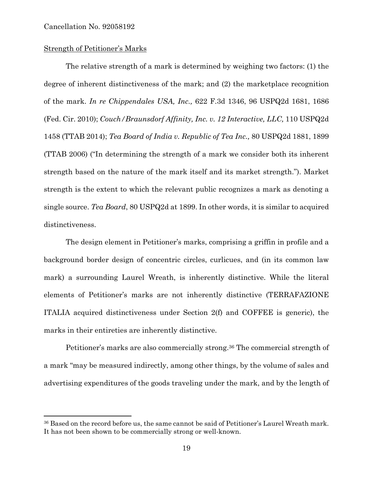$\overline{a}$ 

### Strength of Petitioner's Marks

The relative strength of a mark is determined by weighing two factors: (1) the degree of inherent distinctiveness of the mark; and (2) the marketplace recognition of the mark. *In re Chippendales USA, Inc.,* 622 F.3d 1346, 96 USPQ2d 1681, 1686 (Fed. Cir. 2010); *Couch/Braunsdorf Affinity, Inc. v. 12 Interactive, LLC,* 110 USPQ2d 1458 (TTAB 2014); *Tea Board of India v. Republic of Tea Inc.,* 80 USPQ2d 1881, 1899 (TTAB 2006) ("In determining the strength of a mark we consider both its inherent strength based on the nature of the mark itself and its market strength."). Market strength is the extent to which the relevant public recognizes a mark as denoting a single source. *Tea Board*, 80 USPQ2d at 1899. In other words, it is similar to acquired distinctiveness.

The design element in Petitioner's marks, comprising a griffin in profile and a background border design of concentric circles, curlicues, and (in its common law mark) a surrounding Laurel Wreath, is inherently distinctive. While the literal elements of Petitioner's marks are not inherently distinctive (TERRAFAZIONE ITALIA acquired distinctiveness under Section 2(f) and COFFEE is generic), the marks in their entireties are inherently distinctive.

Petitioner's marks are also commercially strong.36 The commercial strength of a mark "may be measured indirectly, among other things, by the volume of sales and advertising expenditures of the goods traveling under the mark, and by the length of

<sup>&</sup>lt;sup>36</sup> Based on the record before us, the same cannot be said of Petitioner's Laurel Wreath mark. It has not been shown to be commercially strong or well-known.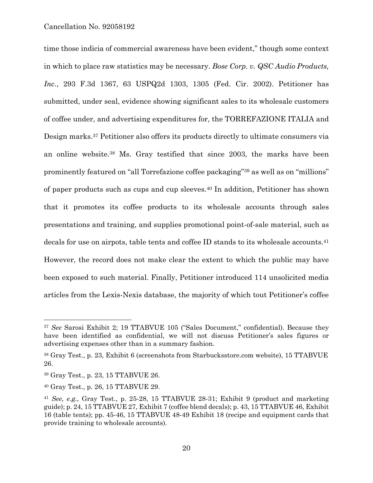time those indicia of commercial awareness have been evident," though some context in which to place raw statistics may be necessary. *Bose Corp. v. QSC Audio Products, Inc.*, 293 F.3d 1367, 63 USPQ2d 1303, 1305 (Fed. Cir. 2002). Petitioner has submitted, under seal, evidence showing significant sales to its wholesale customers of coffee under, and advertising expenditures for, the TORREFAZIONE ITALIA and Design marks.37 Petitioner also offers its products directly to ultimate consumers via an online website.38 Ms. Gray testified that since 2003, the marks have been prominently featured on "all Torrefazione coffee packaging"39 as well as on "millions" of paper products such as cups and cup sleeves.40 In addition, Petitioner has shown that it promotes its coffee products to its wholesale accounts through sales presentations and training, and supplies promotional point-of-sale material, such as decals for use on airpots, table tents and coffee ID stands to its wholesale accounts.41 However, the record does not make clear the extent to which the public may have been exposed to such material. Finally, Petitioner introduced 114 unsolicited media articles from the Lexis-Nexis database, the majority of which tout Petitioner's coffee

1

<sup>37</sup> *See* Sarosi Exhibit 2; 19 TTABVUE 105 ("Sales Document," confidential). Because they have been identified as confidential, we will not discuss Petitioner's sales figures or advertising expenses other than in a summary fashion.

<sup>38</sup> Gray Test., p. 23, Exhibit 6 (screenshots from Starbucksstore.com website), 15 TTABVUE 26.

<sup>39</sup> Gray Test., p. 23, 15 TTABVUE 26.

<sup>40</sup> Gray Test., p. 26, 15 TTABVUE 29.

<sup>41</sup> *See, e.g.,* Gray Test., p. 25-28, 15 TTABVUE 28-31; Exhibit 9 (product and marketing guide); p. 24, 15 TTABVUE 27, Exhibit 7 (coffee blend decals); p. 43, 15 TTABVUE 46, Exhibit 16 (table tents); pp. 45-46, 15 TTABVUE 48-49 Exhibit 18 (recipe and equipment cards that provide training to wholesale accounts).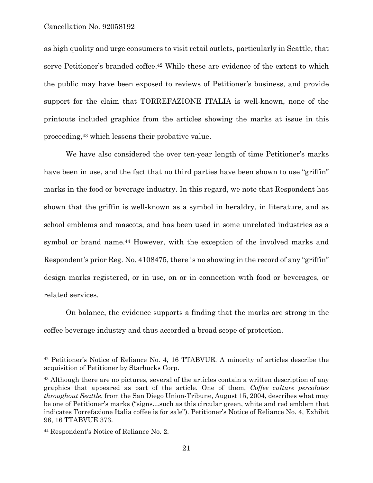as high quality and urge consumers to visit retail outlets, particularly in Seattle, that serve Petitioner's branded coffee.42 While these are evidence of the extent to which the public may have been exposed to reviews of Petitioner's business, and provide support for the claim that TORREFAZIONE ITALIA is well-known, none of the printouts included graphics from the articles showing the marks at issue in this proceeding,43 which lessens their probative value.

We have also considered the over ten-year length of time Petitioner's marks have been in use, and the fact that no third parties have been shown to use "griffin" marks in the food or beverage industry. In this regard, we note that Respondent has shown that the griffin is well-known as a symbol in heraldry, in literature, and as school emblems and mascots, and has been used in some unrelated industries as a symbol or brand name.<sup>44</sup> However, with the exception of the involved marks and Respondent's prior Reg. No. 4108475, there is no showing in the record of any "griffin" design marks registered, or in use, on or in connection with food or beverages, or related services.

On balance, the evidence supports a finding that the marks are strong in the coffee beverage industry and thus accorded a broad scope of protection.

<sup>42</sup> Petitioner's Notice of Reliance No. 4, 16 TTABVUE. A minority of articles describe the acquisition of Petitioner by Starbucks Corp.

<sup>&</sup>lt;sup>43</sup> Although there are no pictures, several of the articles contain a written description of any graphics that appeared as part of the article. One of them, *Coffee culture percolates throughout Seattle*, from the San Diego Union-Tribune, August 15, 2004, describes what may be one of Petitioner's marks ("signs…such as this circular green, white and red emblem that indicates Torrefazione Italia coffee is for sale"). Petitioner's Notice of Reliance No. 4, Exhibit 96, 16 TTABVUE 373.

<sup>44</sup> Respondent's Notice of Reliance No. 2.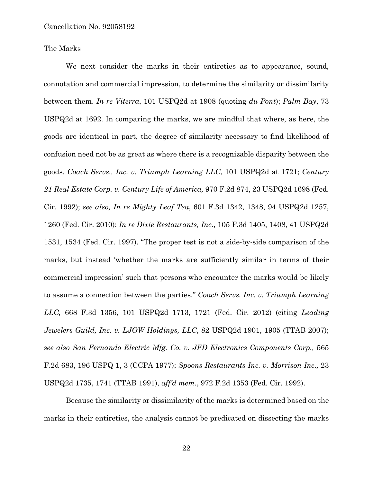### The Marks

We next consider the marks in their entireties as to appearance, sound, connotation and commercial impression, to determine the similarity or dissimilarity between them. *In re Viterra*, 101 USPQ2d at 1908 (quoting *du Pont*); *Palm Bay*, 73 USPQ2d at 1692. In comparing the marks, we are mindful that where, as here, the goods are identical in part, the degree of similarity necessary to find likelihood of confusion need not be as great as where there is a recognizable disparity between the goods. *Coach Servs., Inc. v. Triumph Learning LLC*, 101 USPQ2d at 1721; *Century 21 Real Estate Corp. v. Century Life of America,* 970 F.2d 874, 23 USPQ2d 1698 (Fed. Cir. 1992); *see also, In re Mighty Leaf Tea*, 601 F.3d 1342, 1348, 94 USPQ2d 1257, 1260 (Fed. Cir. 2010); *In re Dixie Restaurants, Inc.,* 105 F.3d 1405, 1408, 41 USPQ2d 1531, 1534 (Fed. Cir. 1997). "The proper test is not a side-by-side comparison of the marks, but instead 'whether the marks are sufficiently similar in terms of their commercial impression' such that persons who encounter the marks would be likely to assume a connection between the parties." *Coach Servs. Inc. v. Triumph Learning LLC,* 668 F.3d 1356, 101 USPQ2d 1713, 1721 (Fed. Cir. 2012) (citing *Leading Jewelers Guild, Inc. v. LJOW Holdings, LLC*, 82 USPQ2d 1901, 1905 (TTAB 2007); *see also San Fernando Electric Mfg. Co. v. JFD Electronics Components Corp.,* 565 F.2d 683, 196 USPQ 1, 3 (CCPA 1977); *Spoons Restaurants Inc. v. Morrison Inc.,* 23 USPQ2d 1735, 1741 (TTAB 1991), *aff'd mem*., 972 F.2d 1353 (Fed. Cir. 1992).

Because the similarity or dissimilarity of the marks is determined based on the marks in their entireties, the analysis cannot be predicated on dissecting the marks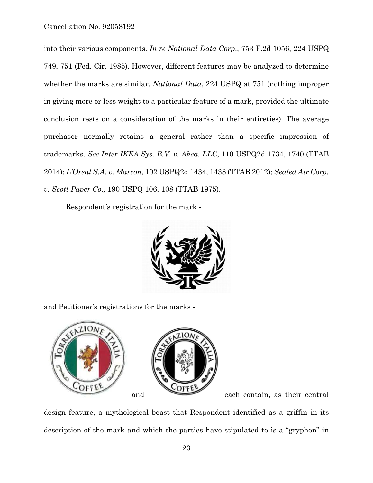into their various components. *In re National Data Corp*., 753 F.2d 1056, 224 USPQ 749, 751 (Fed. Cir. 1985). However, different features may be analyzed to determine whether the marks are similar. *National Data*, 224 USPQ at 751 (nothing improper in giving more or less weight to a particular feature of a mark, provided the ultimate conclusion rests on a consideration of the marks in their entireties). The average purchaser normally retains a general rather than a specific impression of trademarks. *See Inter IKEA Sys. B.V. v. Akea, LLC*, 110 USPQ2d 1734, 1740 (TTAB 2014); *L'Oreal S.A. v. Marcon*, 102 USPQ2d 1434, 1438 (TTAB 2012); *Sealed Air Corp. v. Scott Paper Co.,* 190 USPQ 106, 108 (TTAB 1975).

Respondent's registration for the mark -



and Petitioner's registrations for the marks -



design feature, a mythological beast that Respondent identified as a griffin in its description of the mark and which the parties have stipulated to is a "gryphon" in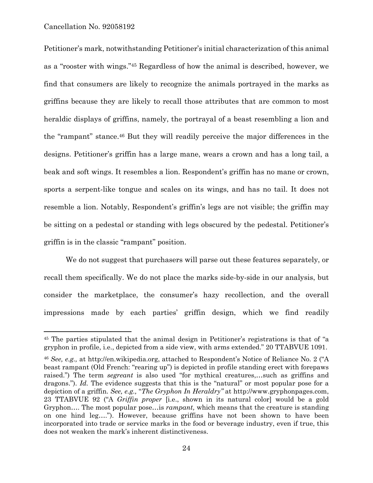$\overline{a}$ 

Petitioner's mark, notwithstanding Petitioner's initial characterization of this animal as a "rooster with wings."45 Regardless of how the animal is described, however, we find that consumers are likely to recognize the animals portrayed in the marks as griffins because they are likely to recall those attributes that are common to most heraldic displays of griffins, namely, the portrayal of a beast resembling a lion and the "rampant" stance.46 But they will readily perceive the major differences in the designs. Petitioner's griffin has a large mane, wears a crown and has a long tail, a beak and soft wings. It resembles a lion. Respondent's griffin has no mane or crown, sports a serpent-like tongue and scales on its wings, and has no tail. It does not resemble a lion. Notably, Respondent's griffin's legs are not visible; the griffin may be sitting on a pedestal or standing with legs obscured by the pedestal. Petitioner's griffin is in the classic "rampant" position.

We do not suggest that purchasers will parse out these features separately, or recall them specifically. We do not place the marks side-by-side in our analysis, but consider the marketplace, the consumer's hazy recollection, and the overall impressions made by each parties' griffin design, which we find readily

<sup>45</sup> The parties stipulated that the animal design in Petitioner's registrations is that of "a gryphon in profile, i.e., depicted from a side view, with arms extended." 20 TTABVUE 1091.

<sup>46</sup> *See, e.g.,* at http://en.wikipedia.org, attached to Respondent's Notice of Reliance No. 2 ("A beast rampant (Old French: "rearing up") is depicted in profile standing erect with forepaws raised.") The term *segreant* is also used "for mythical creatures,…such as griffins and dragons."). *Id.* The evidence suggests that this is the "natural" or most popular pose for a depiction of a griffin. *See, e.g.,* "*The Gryphon In Heraldry"* at http://www.gryphonpages.com, 23 TTABVUE 92 ("A *Griffin proper* [i.e., shown in its natural color] would be a gold Gryphon…. The most popular pose…is *rampant,* which means that the creature is standing on one hind leg…."). However, because griffins have not been shown to have been incorporated into trade or service marks in the food or beverage industry, even if true, this does not weaken the mark's inherent distinctiveness.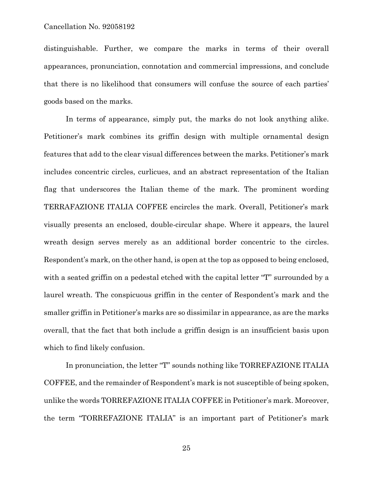distinguishable. Further, we compare the marks in terms of their overall appearances, pronunciation, connotation and commercial impressions, and conclude that there is no likelihood that consumers will confuse the source of each parties' goods based on the marks.

In terms of appearance, simply put, the marks do not look anything alike. Petitioner's mark combines its griffin design with multiple ornamental design features that add to the clear visual differences between the marks. Petitioner's mark includes concentric circles, curlicues, and an abstract representation of the Italian flag that underscores the Italian theme of the mark. The prominent wording TERRAFAZIONE ITALIA COFFEE encircles the mark. Overall, Petitioner's mark visually presents an enclosed, double-circular shape. Where it appears, the laurel wreath design serves merely as an additional border concentric to the circles. Respondent's mark, on the other hand, is open at the top as opposed to being enclosed, with a seated griffin on a pedestal etched with the capital letter "T" surrounded by a laurel wreath. The conspicuous griffin in the center of Respondent's mark and the smaller griffin in Petitioner's marks are so dissimilar in appearance, as are the marks overall, that the fact that both include a griffin design is an insufficient basis upon which to find likely confusion.

In pronunciation, the letter "T" sounds nothing like TORREFAZIONE ITALIA COFFEE, and the remainder of Respondent's mark is not susceptible of being spoken, unlike the words TORREFAZIONE ITALIA COFFEE in Petitioner's mark. Moreover, the term "TORREFAZIONE ITALIA" is an important part of Petitioner's mark

25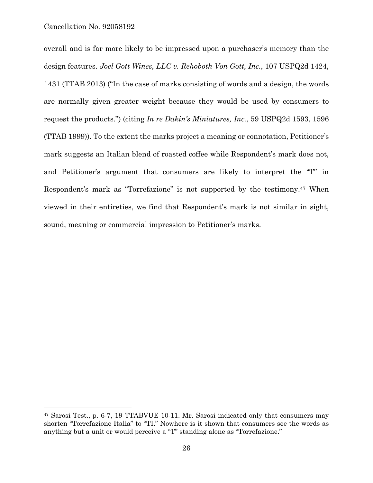$\overline{a}$ 

overall and is far more likely to be impressed upon a purchaser's memory than the design features. *Joel Gott Wines, LLC v. Rehoboth Von Gott, Inc.*, 107 USPQ2d 1424, 1431 (TTAB 2013) ("In the case of marks consisting of words and a design, the words are normally given greater weight because they would be used by consumers to request the products.") (citing *In re Dakin's Miniatures, Inc.*, 59 USPQ2d 1593, 1596 (TTAB 1999)). To the extent the marks project a meaning or connotation, Petitioner's mark suggests an Italian blend of roasted coffee while Respondent's mark does not, and Petitioner's argument that consumers are likely to interpret the "T" in Respondent's mark as "Torrefazione" is not supported by the testimony.47 When viewed in their entireties, we find that Respondent's mark is not similar in sight, sound, meaning or commercial impression to Petitioner's marks.

<sup>47</sup> Sarosi Test., p. 6-7, 19 TTABVUE 10-11. Mr. Sarosi indicated only that consumers may shorten "Torrefazione Italia" to "TI." Nowhere is it shown that consumers see the words as anything but a unit or would perceive a "T" standing alone as "Torrefazione."